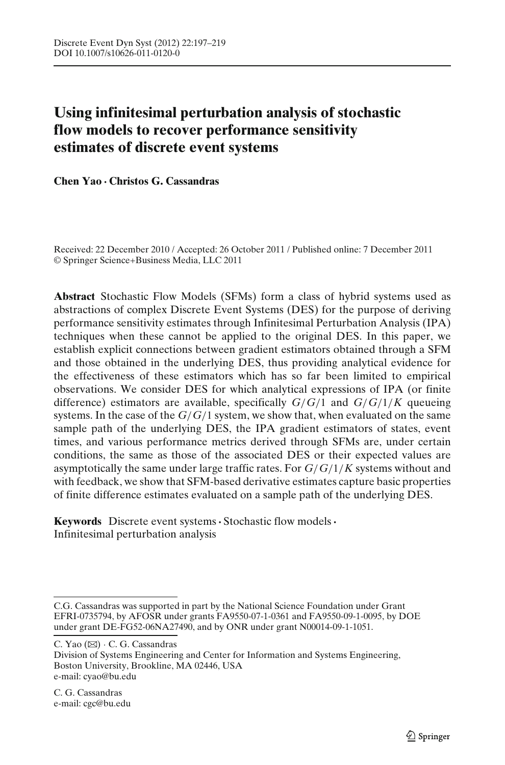# **Using infinitesimal perturbation analysis of stochastic flow models to recover performance sensitivity estimates of discrete event systems**

**Chen Yao · Christos G. Cassandras**

Received: 22 December 2010 / Accepted: 26 October 2011 / Published online: 7 December 2011 © Springer Science+Business Media, LLC 2011

**Abstract** Stochastic Flow Models (SFMs) form a class of hybrid systems used as abstractions of complex Discrete Event Systems (DES) for the purpose of deriving performance sensitivity estimates through Infinitesimal Perturbation Analysis (IPA) techniques when these cannot be applied to the original DES. In this paper, we establish explicit connections between gradient estimators obtained through a SFM and those obtained in the underlying DES, thus providing analytical evidence for the effectiveness of these estimators which has so far been limited to empirical observations. We consider DES for which analytical expressions of IPA (or finite difference) estimators are available, specifically *G*/*G*/1 and *G*/*G*/1/*K* queueing systems. In the case of the  $G/G/1$  system, we show that, when evaluated on the same sample path of the underlying DES, the IPA gradient estimators of states, event times, and various performance metrics derived through SFMs are, under certain conditions, the same as those of the associated DES or their expected values are asymptotically the same under large traffic rates. For *G*/*G*/1/*K* systems without and with feedback, we show that SFM-based derivative estimates capture basic properties of finite difference estimates evaluated on a sample path of the underlying DES.

**Keywords** Discrete event systems**·** Stochastic flow models**·** Infinitesimal perturbation analysis

C. Yao ( $\boxtimes$ ) · C. G. Cassandras

C.G. Cassandras was supported in part by the National Science Foundation under Grant EFRI-0735794, by AFOSR under grants FA9550-07-1-0361 and FA9550-09-1-0095, by DOE under grant DE-FG52-06NA27490, and by ONR under grant N00014-09-1-1051.

Division of Systems Engineering and Center for Information and Systems Engineering, Boston University, Brookline, MA 02446, USA e-mail: cyao@bu.edu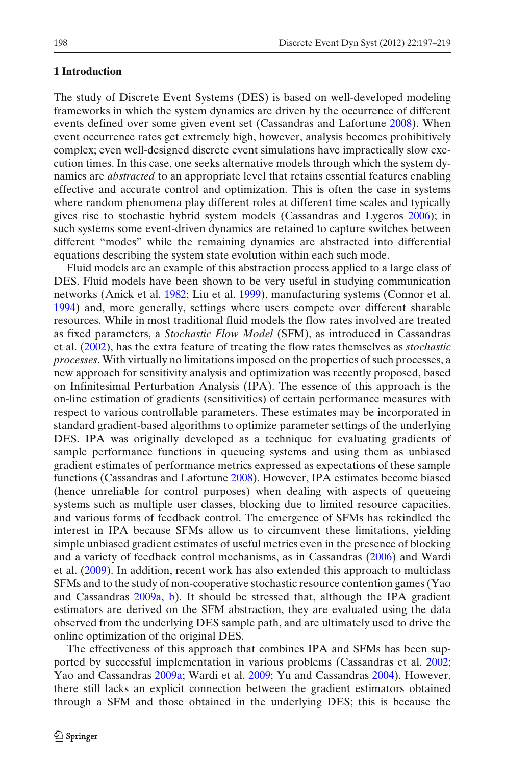## **1 Introduction**

The study of Discrete Event Systems (DES) is based on well-developed modeling frameworks in which the system dynamics are driven by the occurrence of different events defined over some given event set (Cassandras and Lafortun[e](#page-20-0) [2008\)](#page-20-0). When event occurrence rates get extremely high, however, analysis becomes prohibitively complex; even well-designed discrete event simulations have impractically slow execution times. In this case, one seeks alternative models through which the system dynamics are *abstracted* to an appropriate level that retains essential features enabling effective and accurate control and optimization. This is often the case in systems where random phenomena play different roles at different time scales and typically gives rise to stochastic hybrid system models (Cassandras and Lygero[s](#page-20-0) [2006](#page-20-0)); in such systems some event-driven dynamics are retained to capture switches between different "modes" while the remaining dynamics are abstracted into differential equations describing the system state evolution within each such mode.

Fluid models are an example of this abstraction process applied to a large class of DES. Fluid models have been shown to be very useful in studying communication networks (Anick et al[.](#page-20-0) [1982](#page-20-0); Liu et al[.](#page-20-0) [1999](#page-20-0)), manufacturing systems (Connor et al[.](#page-20-0) [1994\)](#page-20-0) and, more generally, settings where users compete over different sharable resources. While in most traditional fluid models the flow rates involved are treated as fixed parameters, a *Stochastic Flow Model* (SFM), as introduced in Cassandras et al[.](#page-20-0) [\(2002](#page-20-0)), has the extra feature of treating the flow rates themselves as *stochastic processes*. With virtually no limitations imposed on the properties of such processes, a new approach for sensitivity analysis and optimization was recently proposed, based on Infinitesimal Perturbation Analysis (IPA). The essence of this approach is the on-line estimation of gradients (sensitivities) of certain performance measures with respect to various controllable parameters. These estimates may be incorporated in standard gradient-based algorithms to optimize parameter settings of the underlying DES. IPA was originally developed as a technique for evaluating gradients of sample performance functions in queueing systems and using them as unbiased gradient estimates of performance metrics expressed as expectations of these sample functions (Cassandras and Lafortun[e](#page-20-0) [2008](#page-20-0)). However, IPA estimates become biased (hence unreliable for control purposes) when dealing with aspects of queueing systems such as multiple user classes, blocking due to limited resource capacities, and various forms of feedback control. The emergence of SFMs has rekindled the interest in IPA because SFMs allow us to circumvent these limitations, yielding simple unbiased gradient estimates of useful metrics even in the presence of blocking and a variety of feedback control mechanisms, as in Cassandra[s](#page-20-0) [\(2006](#page-20-0)) and Wardi et al[.](#page-20-0) [\(2009\)](#page-20-0). In addition, recent work has also extended this approach to multiclass SFMs and to the study of non-cooperative stochastic resource contention games (Yao and Cassandra[s](#page-20-0) [2009a,](#page-20-0) [b](#page-20-0)). It should be stressed that, although the IPA gradient estimators are derived on the SFM abstraction, they are evaluated using the data observed from the underlying DES sample path, and are ultimately used to drive the online optimization of the original DES.

The effectiveness of this approach that combines IPA and SFMs has been supported by successful implementation in various problems (Cassandras et al[.](#page-20-0) [2002](#page-20-0); Yao and Cassandra[s](#page-20-0) [2009a;](#page-20-0) Wardi et al[.](#page-20-0) [2009](#page-20-0); Yu and Cassandra[s](#page-20-0) [2004](#page-20-0)). However, there still lacks an explicit connection between the gradient estimators obtained through a SFM and those obtained in the underlying DES; this is because the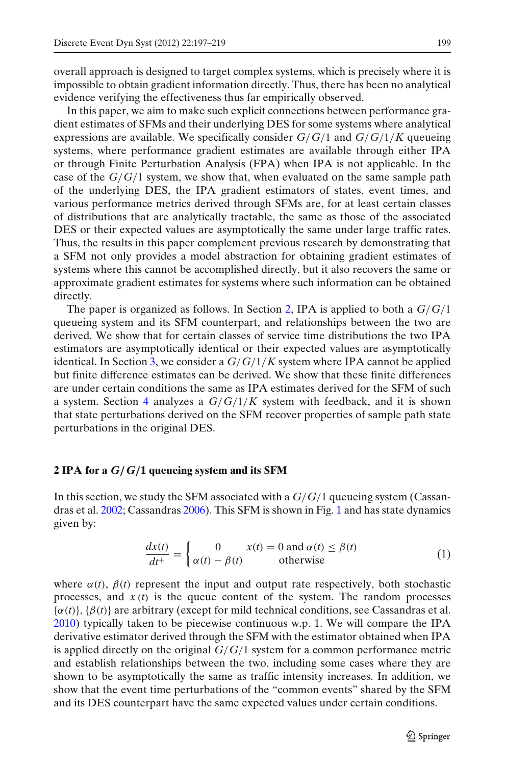<span id="page-2-0"></span>overall approach is designed to target complex systems, which is precisely where it is impossible to obtain gradient information directly. Thus, there has been no analytical evidence verifying the effectiveness thus far empirically observed.

In this paper, we aim to make such explicit connections between performance gradient estimates of SFMs and their underlying DES for some systems where analytical expressions are available. We specifically consider *G*/*G*/1 and *G*/*G*/1/*K* queueing systems, where performance gradient estimates are available through either IPA or through Finite Perturbation Analysis (FPA) when IPA is not applicable. In the case of the  $G/G/1$  system, we show that, when evaluated on the same sample path of the underlying DES, the IPA gradient estimators of states, event times, and various performance metrics derived through SFMs are, for at least certain classes of distributions that are analytically tractable, the same as those of the associated DES or their expected values are asymptotically the same under large traffic rates. Thus, the results in this paper complement previous research by demonstrating that a SFM not only provides a model abstraction for obtaining gradient estimates of systems where this cannot be accomplished directly, but it also recovers the same or approximate gradient estimates for systems where such information can be obtained directly.

The paper is organized as follows. In Section 2, IPA is applied to both a *G*/*G*/1 queueing system and its SFM counterpart, and relationships between the two are derived. We show that for certain classes of service time distributions the two IPA estimators are asymptotically identical or their expected values are asymptotically identical. In Section [3,](#page-10-0) we consider a *G*/*G*/1/*K* system where IPA cannot be applied but finite difference estimates can be derived. We show that these finite differences are under certain conditions the same as IPA estimates derived for the SFM of such a system. Section [4](#page-15-0) analyzes a *G*/*G*/1/*K* system with feedback, and it is shown that state perturbations derived on the SFM recover properties of sample path state perturbations in the original DES.

## **2 IPA for a** *G/G/***1 queueing system and its SFM**

In this section, we study the SFM associated with a *G*/*G*/1 queueing system (Cassandras et al[.](#page-20-0) [2002;](#page-20-0) Cassandra[s](#page-20-0) [2006\)](#page-20-0). This SFM is shown in Fig. [1](#page-3-0) and has state dynamics given by:

$$
\frac{dx(t)}{dt^+} = \begin{cases} 0 & x(t) = 0 \text{ and } \alpha(t) \le \beta(t) \\ \alpha(t) - \beta(t) & \text{otherwise} \end{cases}
$$
(1)

where  $\alpha(t)$ ,  $\beta(t)$  represent the input and output rate respectively, both stochastic processes, and  $x(t)$  is the queue content of the system. The random processes  $\{\alpha(t)\}\$ ,  $\{\beta(t)\}\$ are arbitrary (except for mild technical conditions, see Cassandras et al. [2010\)](#page-20-0) typically taken to be piecewise continuous w.p. 1. We will compare the IPA derivative estimator derived through the SFM with the estimator obtained when IPA is applied directly on the original *G*/*G*/1 system for a common performance metric and establish relationships between the two, including some cases where they are shown to be asymptotically the same as traffic intensity increases. In addition, we show that the event time perturbations of the "common events" shared by the SFM and its DES counterpart have the same expected values under certain conditions.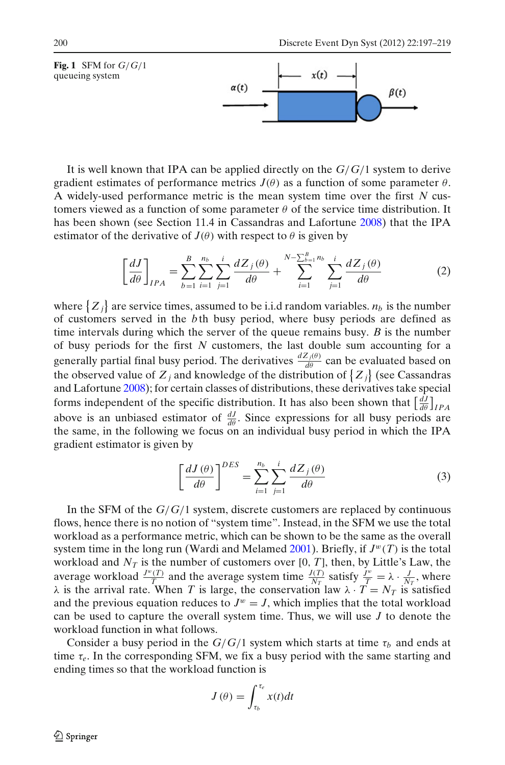<span id="page-3-0"></span>**Fig. 1** SFM for *G*/*G*/1 queueing system



It is well known that IPA can be applied directly on the *G*/*G*/1 system to derive gradient estimates of performance metrics  $J(\theta)$  as a function of some parameter  $\theta$ . A widely-used performance metric is the mean system time over the first *N* customers viewed as a function of some parameter  $\theta$  of the service time distribution. It has been shown (see Section 11.4 in Cassandras and Lafortune [2008\)](#page-20-0) that the IPA estimator of the derivative of  $J(\theta)$  with respect to  $\theta$  is given by

$$
\left[\frac{dJ}{d\theta}\right]_{IPA} = \sum_{b=1}^{B} \sum_{i=1}^{n_b} \sum_{j=1}^{i} \frac{dZ_j(\theta)}{d\theta} + \sum_{i=1}^{N-\sum_{b=1}^{B} n_b} \sum_{j=1}^{i} \frac{dZ_j(\theta)}{d\theta}
$$
(2)

where  $\{Z_j\}$  are service times, assumed to be i.i.d random variables.  $n_b$  is the number of customers served in the *b*th busy period, where busy periods are defined as time intervals during which the server of the queue remains busy. *B* is the number of busy periods for the first *N* customers, the last double sum accounting for a generally partial final busy period. The derivatives  $\frac{dZ_j(\theta)}{d\theta}$  can be evaluated based on the observed value of  $Z_j$  and knowledge of the distribution of  $\{Z_j\}$  (see Cassandras and Lafortune [2008\)](#page-20-0); for certain classes of distributions, these derivatives take special forms independent of the specific distribution. It has also been shown that  $\left[\frac{dJ}{d\theta}\right]_{IPA}$ above is an unbiased estimator of  $\frac{dJ}{d\theta}$ . Since expressions for all busy periods are the same, in the following we focus on an individual busy period in which the IPA gradient estimator is given by

$$
\left[\frac{dJ(\theta)}{d\theta}\right]^{DES} = \sum_{i=1}^{n_b} \sum_{j=1}^{i} \frac{dZ_j(\theta)}{d\theta} \tag{3}
$$

In the SFM of the *G*/*G*/1 system, discrete customers are replaced by continuous flows, hence there is no notion of "system time". Instead, in the SFM we use the total workload as a performance metric, which can be shown to be the same as the overall system time in the long run (War[d](#page-20-0)i and Melamed [2001](#page-20-0)). Briefly, if  $J^w(T)$  is the total workload and  $N_T$  is the number of customers over [0,  $T$ ], then, by Little's Law, the average workload  $\frac{J^w(T)}{T}$  and the average system time  $\frac{J(T)}{N_T}$  satisfy  $\frac{J^w}{T} = \lambda \cdot \frac{J}{N_T}$ , where  $\lambda$  is the arrival rate. When *T* is large, the conservation law  $\lambda \cdot T = N_T$  is satisfied and the previous equation reduces to  $J^w = J$ , which implies that the total workload can be used to capture the overall system time. Thus, we will use *J* to denote the workload function in what follows.

Consider a busy period in the  $G/G/1$  system which starts at time  $\tau_b$  and ends at time τ*e*. In the corresponding SFM, we fix a busy period with the same starting and ending times so that the workload function is

$$
J(\theta) = \int_{\tau_b}^{\tau_e} x(t) dt
$$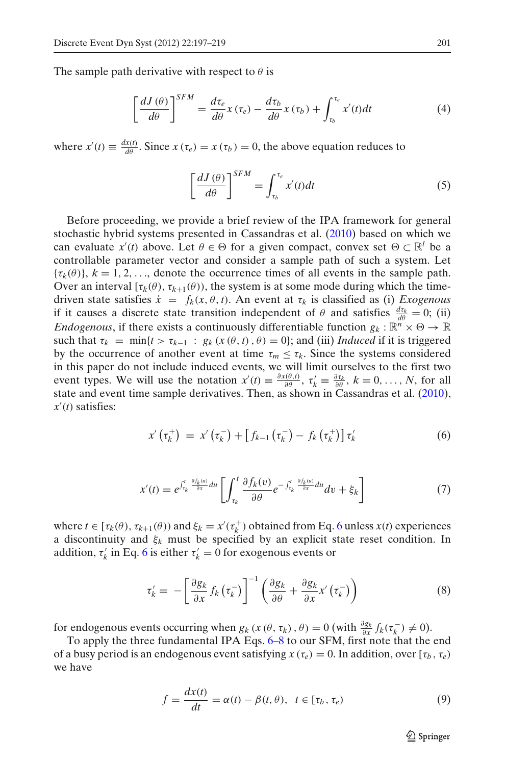<span id="page-4-0"></span>The sample path derivative with respect to  $\theta$  is

$$
\left[\frac{dJ(\theta)}{d\theta}\right]^{SFM} = \frac{d\tau_e}{d\theta}x(\tau_e) - \frac{d\tau_b}{d\theta}x(\tau_b) + \int_{\tau_b}^{\tau_e} x'(t)dt
$$
\n(4)

where  $x'(t) \equiv \frac{dx(t)}{d\theta}$ . Since  $x(\tau_e) = x(\tau_b) = 0$ , the above equation reduces to

$$
\left[\frac{dJ(\theta)}{d\theta}\right]^{SFM} = \int_{\tau_b}^{\tau_e} x'(t)dt
$$
\n(5)

Before proceeding, we provide a brief review of the IPA framework for general stochastic hybrid systems presented in Cassandras et al[.](#page-20-0) [\(2010](#page-20-0)) based on which we can evaluate  $x'(t)$  above. Let  $\theta \in \Theta$  for a given compact, convex set  $\Theta \subset \mathbb{R}^l$  be a controllable parameter vector and consider a sample path of such a system. Let  ${\tau_k(\theta)}$ ,  $k = 1, 2, \ldots$ , denote the occurrence times of all events in the sample path. Over an interval  $[\tau_k(\theta), \tau_{k+1}(\theta)]$ , the system is at some mode during which the timedriven state satisfies  $\dot{x} = f_k(x, \theta, t)$ . An event at  $\tau_k$  is classified as (i) *Exogenous* if it causes a discrete state transition independent of  $\theta$  and satisfies  $\frac{d\tau_k}{d\theta} = 0$ ; (ii) *Endogenous*, if there exists a continuously differentiable function  $g_k : \mathbb{R}^n \times \Theta \to \mathbb{R}$ such that  $\tau_k = \min\{t > \tau_{k-1} : g_k(x(\theta, t), \theta) = 0\}$ ; and (iii) *Induced* if it is triggered by the occurrence of another event at time  $\tau_m \leq \tau_k$ . Since the systems considered in this paper do not include induced events, we will limit ourselves to the first two event types. We will use the notation  $x'(t) \equiv \frac{\partial x(\theta, t)}{\partial \theta}$ ,  $\tau'_k \equiv \frac{\partial \tau_k}{\partial \theta}$ ,  $k = 0, ..., N$ , for all state and event time sample derivatives. Then, as shown in Cassandras et al[.](#page-20-0) [\(2010\)](#page-20-0), *x* (*t*) satisfies:

$$
x'\left(\tau_k^+\right) \ = \ x'\left(\tau_k^-\right) + \left[f_{k-1}\left(\tau_k^-\right) - f_k\left(\tau_k^+\right)\right] \tau_k' \tag{6}
$$

$$
x'(t) = e^{\int_{\tau_k}^t \frac{\partial f_k(u)}{\partial x} du} \left[ \int_{\tau_k}^t \frac{\partial f_k(v)}{\partial \theta} e^{-\int_{\tau_k}^t \frac{\partial f_k(u)}{\partial x} du} dv + \xi_k \right]
$$
(7)

where  $t \in [\tau_k(\theta), \tau_{k+1}(\theta))$  and  $\xi_k = x'(\tau_k^+)$  obtained from Eq. 6 unless  $x(t)$  experiences a discontinuity and ξ*<sup>k</sup>* must be specified by an explicit state reset condition. In addition,  $\tau'_k$  in Eq. 6 is either  $\tau'_k = 0$  for exogenous events or

$$
\tau'_{k} = -\left[\frac{\partial g_{k}}{\partial x} f_{k}\left(\tau_{k}^{-}\right)\right]^{-1} \left(\frac{\partial g_{k}}{\partial \theta} + \frac{\partial g_{k}}{\partial x} x'\left(\tau_{k}^{-}\right)\right) \tag{8}
$$

for endogenous events occurring when  $g_k(x(\theta, \tau_k), \theta) = 0$  (with  $\frac{\partial g_k}{\partial x} f_k(\tau_k^-) \neq 0$ ).

To apply the three fundamental IPA Eqs. 6–8 to our SFM, first note that the end of a busy period is an endogenous event satisfying  $x(\tau_e) = 0$ . In addition, over  $[\tau_b, \tau_e]$ we have

$$
f = \frac{dx(t)}{dt} = \alpha(t) - \beta(t, \theta), \quad t \in [\tau_b, \tau_e)
$$
\n(9)

 $\mathcal{D}$  Springer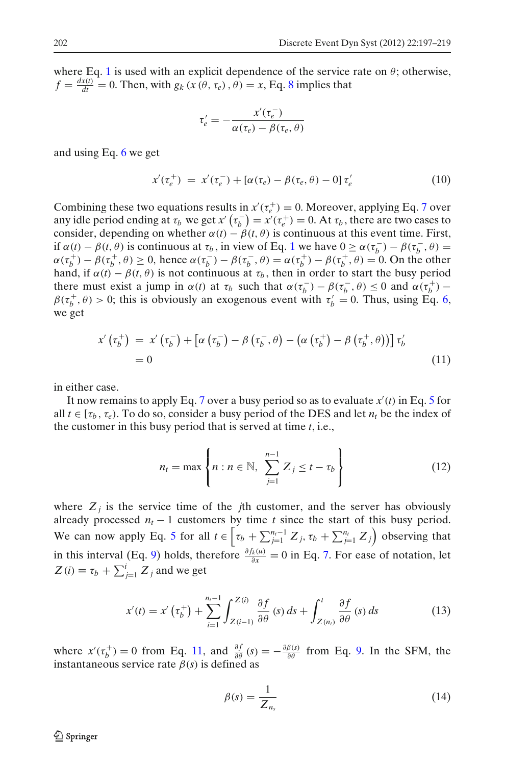<span id="page-5-0"></span>where Eq. [1](#page-2-0) is used with an explicit dependence of the service rate on  $\theta$ ; otherwise,  $f = \frac{dx(t)}{dt} = 0$ . Then, with  $g_k(x(\theta, \tau_e), \theta) = x$ , Eq. [8](#page-4-0) implies that

$$
\tau'_{e} = -\frac{x'(\tau_{e}^{-})}{\alpha(\tau_{e}) - \beta(\tau_{e}, \theta)}
$$

and using Eq. [6](#page-4-0) we get

$$
x'(\tau_e^+) = x'(\tau_e^-) + [\alpha(\tau_e) - \beta(\tau_e, \theta) - 0] \tau_e'
$$
 (10)

Combining these two equations results in  $x'(\tau_e^+) = 0$ . Moreover, applying Eq. [7](#page-4-0) over any idle period ending at  $\tau_b$  we get  $x'(\tau_b^-) = x'(\tau_e^+) = 0$ . At  $\tau_b$ , there are two cases to consider, depending on whether  $\alpha(t) - \beta(t, \theta)$  is continuous at this event time. First, if  $\alpha(t) - \beta(t, \theta)$  is continuous at  $\tau_b$ , in view of Eq. [1](#page-2-0) we have  $0 \ge \alpha(\tau_b^-) - \beta(\tau_b^-,\theta) =$  $\alpha(\tau_b^+) - \beta(\tau_b^+, \theta) \ge 0$ , hence  $\alpha(\tau_b^-) - \beta(\tau_b^-, \theta) = \alpha(\tau_b^+) - \beta(\tau_b^+, \theta) = 0$ . On the other hand, if  $\alpha(t) - \beta(t, \theta)$  is not continuous at  $\tau_b$ , then in order to start the busy period there must exist a jump in  $\alpha(t)$  at  $\tau_b$  such that  $\alpha(\tau_b^-) - \beta(\tau_b^-,\theta) \le 0$  and  $\alpha(\tau_b^+) - \beta(\tau_b^-,\theta)$  $\beta(\tau_b^+, \theta) > 0$ ; this is obviously an exogenous event with  $\tau_b' = 0$ . Thus, using Eq. [6,](#page-4-0) we get

$$
x'(\tau_b^+) = x'(\tau_b^-) + [\alpha(\tau_b^-) - \beta(\tau_b^-,\theta) - (\alpha(\tau_b^+) - \beta(\tau_b^+,\theta))] \tau_b'
$$
  
= 0 (11)

in either case.

It now remains to apply Eq. [7](#page-4-0) over a busy period so as to evaluate  $x'(t)$  in Eq. [5](#page-4-0) for all  $t \in [\tau_b, \tau_e]$ . To do so, consider a busy period of the DES and let  $n_t$  be the index of the customer in this busy period that is served at time *t*, i.e.,

$$
n_{t} = \max\left\{ n : n \in \mathbb{N}, \sum_{j=1}^{n-1} Z_{j} \leq t - \tau_{b} \right\}
$$
 (12)

where  $Z_i$  is the service time of the *j*th customer, and the server has obviously already processed  $n_t - 1$  customers by time *t* since the start of this busy period. We can now apply Eq. [5](#page-4-0) for all  $t \in \left[ \tau_b + \sum_{j=1}^{n_t-1} Z_j, \tau_b + \sum_{j=1}^{n_t} Z_j \right]$  observing that in this interval (Eq. [9\)](#page-4-0) holds, therefore  $\frac{\partial f_k(u)}{\partial x} = 0$  in Eq. [7.](#page-4-0) For ease of notation, let  $Z(i) \equiv \tau_b + \sum_{j=1}^{i} Z_j$  and we get

$$
x'(t) = x'\left(\tau_b^+\right) + \sum_{i=1}^{n_t-1} \int_{Z(i-1)}^{Z(i)} \frac{\partial f}{\partial \theta}(s) \, ds + \int_{Z(n_t)}^t \frac{\partial f}{\partial \theta}(s) \, ds \tag{13}
$$

where  $x'(\tau_b^+) = 0$  from Eq. 11, and  $\frac{\partial f}{\partial \theta}(s) = -\frac{\partial \beta(s)}{\partial \theta}$  from Eq. [9.](#page-4-0) In the SFM, the instantaneous service rate β(*s*) is defined as

$$
\beta(s) = \frac{1}{Z_{n_s}}\tag{14}
$$

 $\mathcal{D}$  Springer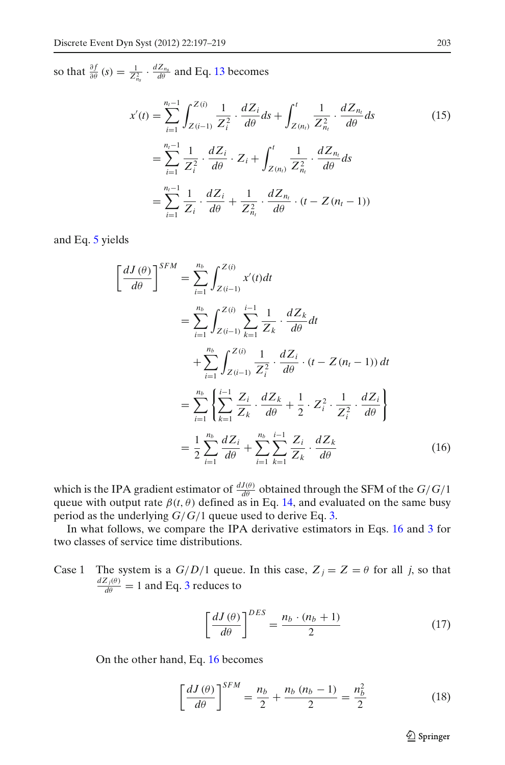<span id="page-6-0"></span>so that  $\frac{\partial f}{\partial \theta}(s) = \frac{1}{Z_{n_s}^2} \cdot \frac{dZ_{n_s}}{d\theta}$  and Eq. [13](#page-5-0) becomes

$$
x'(t) = \sum_{i=1}^{n_t-1} \int_{Z(i-1)}^{Z(i)} \frac{1}{Z_i^2} \cdot \frac{dZ_i}{d\theta} ds + \int_{Z(n_t)}^t \frac{1}{Z_{n_t}^2} \cdot \frac{dZ_{n_t}}{d\theta} ds
$$
(15)  

$$
= \sum_{i=1}^{n_t-1} \frac{1}{Z_i^2} \cdot \frac{dZ_i}{d\theta} \cdot Z_i + \int_{Z(n_t)}^t \frac{1}{Z_{n_t}^2} \cdot \frac{dZ_{n_t}}{d\theta} ds
$$
  

$$
= \sum_{i=1}^{n_t-1} \frac{1}{Z_i} \cdot \frac{dZ_i}{d\theta} + \frac{1}{Z_{n_t}^2} \cdot \frac{dZ_{n_t}}{d\theta} \cdot (t - Z(n_t - 1))
$$

and Eq. [5](#page-4-0) yields

$$
\left[\frac{dJ(\theta)}{d\theta}\right]^{SFM} = \sum_{i=1}^{n_b} \int_{Z(i-1)}^{Z(i)} x'(t)dt
$$
  
\n
$$
= \sum_{i=1}^{n_b} \int_{Z(i-1)}^{Z(i)} \sum_{k=1}^{i-1} \frac{1}{Z_k} \cdot \frac{dZ_k}{d\theta} dt
$$
  
\n
$$
+ \sum_{i=1}^{n_b} \int_{Z(i-1)}^{Z(i)} \frac{1}{Z_i^2} \cdot \frac{dZ_i}{d\theta} \cdot (t - Z(n_t - 1)) dt
$$
  
\n
$$
= \sum_{i=1}^{n_b} \left\{ \sum_{k=1}^{i-1} \frac{Z_i}{Z_k} \cdot \frac{dZ_k}{d\theta} + \frac{1}{2} \cdot Z_i^2 \cdot \frac{1}{Z_i^2} \cdot \frac{dZ_i}{d\theta} \right\}
$$
  
\n
$$
= \frac{1}{2} \sum_{i=1}^{n_b} \frac{dZ_i}{d\theta} + \sum_{i=1}^{n_b} \sum_{k=1}^{i-1} \frac{Z_i}{Z_k} \cdot \frac{dZ_k}{d\theta}
$$
(16)

which is the IPA gradient estimator of  $\frac{dJ(\theta)}{d\theta}$  obtained through the SFM of the *G*/*G*/1 queue with output rate  $\beta(t, \theta)$  defined as in Eq. [14,](#page-5-0) and evaluated on the same busy period as the underlying *G*/*G*/1 queue used to derive Eq. [3.](#page-3-0)

In what follows, we compare the IPA derivative estimators in Eqs. 16 and [3](#page-3-0) for two classes of service time distributions.

Case 1 The system is a  $G/D/1$  queue. In this case,  $Z_i = Z = \theta$  for all *j*, so that  $\frac{dZ_j(\theta)}{d\theta} = 1$  and Eq. [3](#page-3-0) reduces to

$$
\left[\frac{dJ(\theta)}{d\theta}\right]^{DES} = \frac{n_b \cdot (n_b + 1)}{2} \tag{17}
$$

On the other hand, Eq. 16 becomes

$$
\left[\frac{dJ\left(\theta\right)}{d\theta}\right]^{SFM} = \frac{n_b}{2} + \frac{n_b\left(n_b - 1\right)}{2} = \frac{n_b^2}{2} \tag{18}
$$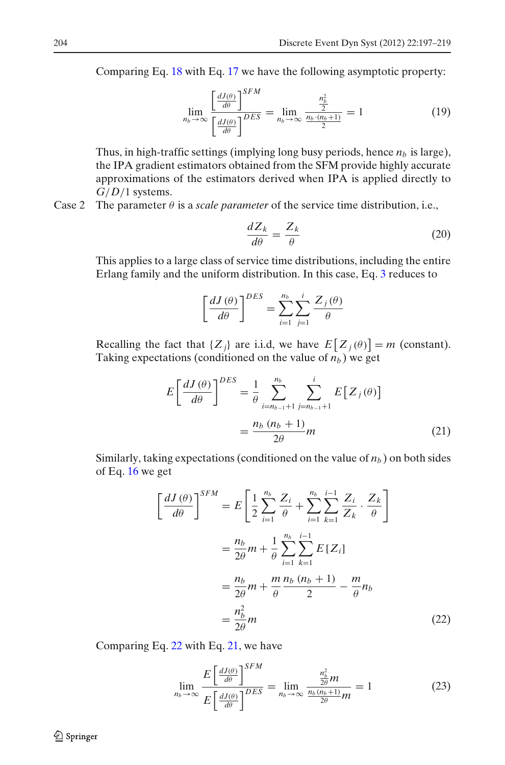<span id="page-7-0"></span>Comparing Eq. [18](#page-6-0) with Eq. [17](#page-6-0) we have the following asymptotic property:

$$
\lim_{n_b \to \infty} \frac{\left[\frac{dJ(\theta)}{d\theta}\right]^{SFM}}{\left[\frac{dJ(\theta)}{d\theta}\right]^{DES}} = \lim_{n_b \to \infty} \frac{\frac{n_b^2}{2}}{\frac{n_b \cdot (n_b + 1)}{2}} = 1\tag{19}
$$

Thus, in high-traffic settings (implying long busy periods, hence  $n<sub>b</sub>$  is large), the IPA gradient estimators obtained from the SFM provide highly accurate approximations of the estimators derived when IPA is applied directly to *G*/*D*/1 systems.

Case 2 The parameter  $\theta$  is a *scale parameter* of the service time distribution, i.e.,

$$
\frac{dZ_k}{d\theta} = \frac{Z_k}{\theta} \tag{20}
$$

This applies to a large class of service time distributions, including the entire Erlang family and the uniform distribution. In this case, Eq. [3](#page-3-0) reduces to

$$
\left[\frac{dJ(\theta)}{d\theta}\right]^{DES} = \sum_{i=1}^{n_b} \sum_{j=1}^{i} \frac{Z_j(\theta)}{\theta}
$$

Recalling the fact that  $\{Z_j\}$  are i.i.d, we have  $E\left[Z_j(\theta)\right] = m$  (constant). Taking expectations (conditioned on the value of  $n<sub>b</sub>$ ) we get

$$
E\left[\frac{dJ(\theta)}{d\theta}\right]^{DES} = \frac{1}{\theta} \sum_{i=n_{b-1}+1}^{n_b} \sum_{j=n_{b-1}+1}^{i} E\left[Z_j(\theta)\right]
$$

$$
= \frac{n_b(n_b+1)}{2\theta}m
$$
(21)

Similarly, taking expectations (conditioned on the value of  $n<sub>b</sub>$ ) on both sides of Eq. [16](#page-6-0) we get

$$
\left[\frac{dJ(\theta)}{d\theta}\right]^{SFM} = E\left[\frac{1}{2}\sum_{i=1}^{n_b} \frac{Z_i}{\theta} + \sum_{i=1}^{n_b} \sum_{k=1}^{i-1} \frac{Z_i}{Z_k} \cdot \frac{Z_k}{\theta}\right]
$$

$$
= \frac{n_b}{2\theta}m + \frac{1}{\theta}\sum_{i=1}^{n_b} \sum_{k=1}^{i-1} E[Z_i]
$$

$$
= \frac{n_b}{2\theta}m + \frac{m}{\theta}\frac{n_b(n_b+1)}{2} - \frac{m}{\theta}n_b
$$

$$
= \frac{n_b^2}{2\theta}m
$$
(22)

Comparing Eq. 22 with Eq. 21, we have

$$
\lim_{n_b \to \infty} \frac{E \left[ \frac{dJ(\theta)}{d\theta} \right]^{SFM}}{E \left[ \frac{dJ(\theta)}{d\theta} \right]^{DES}} = \lim_{n_b \to \infty} \frac{\frac{n_b^2}{2\theta} m}{\frac{n_b(n_b+1)}{2\theta} m} = 1
$$
\n(23)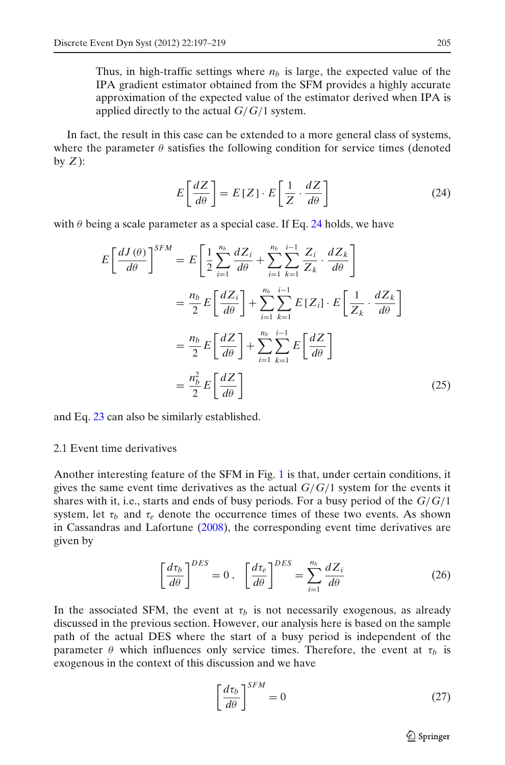<span id="page-8-0"></span>Thus, in high-traffic settings where  $n<sub>b</sub>$  is large, the expected value of the IPA gradient estimator obtained from the SFM provides a highly accurate approximation of the expected value of the estimator derived when IPA is applied directly to the actual *G*/*G*/1 system.

In fact, the result in this case can be extended to a more general class of systems, where the parameter  $\theta$  satisfies the following condition for service times (denoted by  $Z$ ):

$$
E\left[\frac{dZ}{d\theta}\right] = E[Z] \cdot E\left[\frac{1}{Z} \cdot \frac{dZ}{d\theta}\right]
$$
 (24)

with  $\theta$  being a scale parameter as a special case. If Eq. 24 holds, we have

$$
E\left[\frac{dJ(\theta)}{d\theta}\right]^{SFM} = E\left[\frac{1}{2}\sum_{i=1}^{n_b} \frac{dZ_i}{d\theta} + \sum_{i=1}^{n_b} \sum_{k=1}^{i-1} \frac{Z_i}{Z_k} \cdot \frac{dZ_k}{d\theta}\right]
$$
  

$$
= \frac{n_b}{2} E\left[\frac{dZ_i}{d\theta}\right] + \sum_{i=1}^{n_b} \sum_{k=1}^{i-1} E[Z_i] \cdot E\left[\frac{1}{Z_k} \cdot \frac{dZ_k}{d\theta}\right]
$$
  

$$
= \frac{n_b}{2} E\left[\frac{dZ}{d\theta}\right] + \sum_{i=1}^{n_b} \sum_{k=1}^{i-1} E\left[\frac{dZ}{d\theta}\right]
$$
  

$$
= \frac{n_b^2}{2} E\left[\frac{dZ}{d\theta}\right]
$$
 (25)

and Eq. [23](#page-7-0) can also be similarly established.

### 2.1 Event time derivatives

Another interesting feature of the SFM in Fig. [1](#page-3-0) is that, under certain conditions, it gives the same event time derivatives as the actual *G*/*G*/1 system for the events it shares with it, i.e., starts and ends of busy periods. For a busy period of the *G*/*G*/1 system, let  $\tau_b$  and  $\tau_e$  denote the occurrence times of these two events. As shown in Cassandras and Lafortun[e](#page-20-0) [\(2008\)](#page-20-0), the corresponding event time derivatives are given by

$$
\left[\frac{d\tau_b}{d\theta}\right]^{DES} = 0 \,, \quad \left[\frac{d\tau_e}{d\theta}\right]^{DES} = \sum_{i=1}^{n_b} \frac{dZ_i}{d\theta} \tag{26}
$$

In the associated SFM, the event at  $\tau_b$  is not necessarily exogenous, as already discussed in the previous section. However, our analysis here is based on the sample path of the actual DES where the start of a busy period is independent of the parameter  $\theta$  which influences only service times. Therefore, the event at  $\tau_b$  is exogenous in the context of this discussion and we have

$$
\left[\frac{d\tau_b}{d\theta}\right]^{SFM} = 0\tag{27}
$$

 $\mathcal{D}$  Springer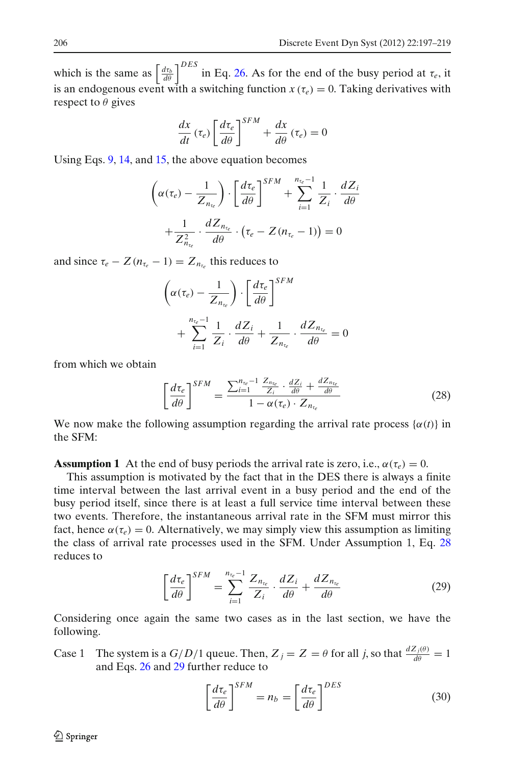<span id="page-9-0"></span>which is the same as  $\left[\frac{d\tau_b}{d\theta}\right]^{DES}$  in Eq. [26.](#page-8-0) As for the end of the busy period at  $\tau_e$ , it is an endogenous event with a switching function  $x(\tau_e) = 0$ . Taking derivatives with respect to  $\theta$  gives

$$
\frac{dx}{dt}\left(\tau_e\right)\left[\frac{d\tau_e}{d\theta}\right]^{SFM} + \frac{dx}{d\theta}\left(\tau_e\right) = 0
$$

Using Eqs. [9,](#page-4-0) [14,](#page-5-0) and [15,](#page-6-0) the above equation becomes

$$
\left(\alpha(\tau_e) - \frac{1}{Z_{n_{\tau_e}}}\right) \cdot \left[\frac{d\tau_e}{d\theta}\right]^{SFM} + \sum_{i=1}^{n_{\tau_e}-1} \frac{1}{Z_i} \cdot \frac{dZ_i}{d\theta} + \frac{1}{Z_{n_{\tau_e}}^2} \cdot \frac{dZ_{n_{\tau_e}}}{d\theta} \cdot \left(\tau_e - Z(n_{\tau_e} - 1)\right) = 0
$$

and since  $\tau_e - Z(n_{\tau_e} - 1) = Z_{n_{\tau_e}}$  this reduces to

$$
\left(\alpha(\tau_e) - \frac{1}{Z_{n_{\tau_e}}}\right) \cdot \left[\frac{d\tau_e}{d\theta}\right]^{SFM} + \sum_{i=1}^{n_{\tau_e}-1} \frac{1}{Z_i} \cdot \frac{dZ_i}{d\theta} + \frac{1}{Z_{n_{\tau_e}}} \cdot \frac{dZ_{n_{\tau_e}}}{d\theta} = 0
$$

from which we obtain

$$
\left[\frac{d\tau_e}{d\theta}\right]^{SFM} = \frac{\sum_{i=1}^{n_{\tau_e}-1} \frac{Z_{n_{\tau_e}}}{Z_i} \cdot \frac{dZ_i}{d\theta} + \frac{dZ_{n_{\tau_e}}}{d\theta}}{1 - \alpha(\tau_e) \cdot Z_{n_{\tau_e}}}
$$
(28)

We now make the following assumption regarding the arrival rate process  $\{\alpha(t)\}$  in the SFM:

**Assumption 1** At the end of busy periods the arrival rate is zero, i.e.,  $\alpha(\tau_e) = 0$ .

This assumption is motivated by the fact that in the DES there is always a finite time interval between the last arrival event in a busy period and the end of the busy period itself, since there is at least a full service time interval between these two events. Therefore, the instantaneous arrival rate in the SFM must mirror this fact, hence  $\alpha(\tau_e) = 0$ . Alternatively, we may simply view this assumption as limiting the class of arrival rate processes used in the SFM. Under Assumption 1, Eq. 28 reduces to

$$
\left[\frac{d\tau_e}{d\theta}\right]^{SFM} = \sum_{i=1}^{n_{\tau_e}-1} \frac{Z_{n_{\tau_e}}}{Z_i} \cdot \frac{dZ_i}{d\theta} + \frac{dZ_{n_{\tau_e}}}{d\theta} \tag{29}
$$

Considering once again the same two cases as in the last section, we have the following.

Case 1 The system is a  $G/D/1$  queue. Then,  $Z_j = Z = \theta$  for all *j*, so that  $\frac{dZ_j(\theta)}{d\theta} = 1$ and Eqs. [26](#page-8-0) and 29 further reduce to

$$
\left[\frac{d\tau_e}{d\theta}\right]^{SFM} = n_b = \left[\frac{d\tau_e}{d\theta}\right]^{DES}
$$
\n(30)

 $\mathcal{D}$  Springer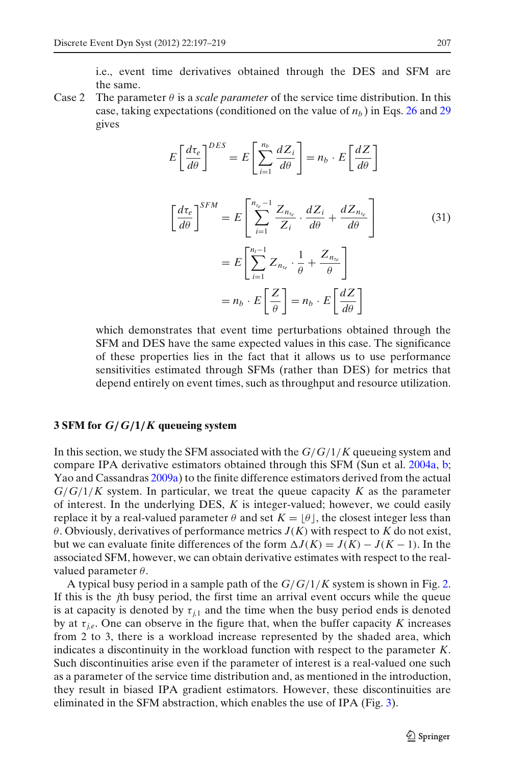i.e., event time derivatives obtained through the DES and SFM are the same.

<span id="page-10-0"></span>Case 2 The parameter  $\theta$  is a *scale parameter* of the service time distribution. In this case, taking expectations (conditioned on the value of  $n<sub>b</sub>$ ) in Eqs. [26](#page-8-0) and [29](#page-9-0) gives

$$
E\left[\frac{d\tau_e}{d\theta}\right]^{DES} = E\left[\sum_{i=1}^{n_b} \frac{dZ_i}{d\theta}\right] = n_b \cdot E\left[\frac{dZ}{d\theta}\right]
$$

$$
\left[\frac{d\tau_e}{d\theta}\right]^{SFM} = E\left[\sum_{i=1}^{n_{te}-1} \frac{Z_{n_{te}}}{Z_i} \cdot \frac{dZ_i}{d\theta} + \frac{dZ_{n_{te}}}{d\theta}\right]
$$

$$
= E\left[\sum_{i=1}^{n_t-1} Z_{n_{te}} \cdot \frac{1}{\theta} + \frac{Z_{n_{te}}}{\theta}\right]
$$

$$
= n_b \cdot E\left[\frac{Z}{\theta}\right] = n_b \cdot E\left[\frac{dZ}{d\theta}\right]
$$
(31)

which demonstrates that event time perturbations obtained through the SFM and DES have the same expected values in this case. The significance of these properties lies in the fact that it allows us to use performance sensitivities estimated through SFMs (rather than DES) for metrics that depend entirely on event times, such as throughput and resource utilization.

#### **3 SFM for** *G/G/***1***/K* **queueing system**

In this section, we study the SFM associated with the *G*/*G*/1/*K* queueing system and compare IPA derivative estimators obtained through this SFM (Sun et al[.](#page-20-0) [2004a,](#page-20-0) [b](#page-20-0); Yao and Cassandra[s](#page-20-0) [2009a](#page-20-0)) to the finite difference estimators derived from the actual  $G/G/1/K$  system. In particular, we treat the queue capacity  $K$  as the parameter of interest. In the underlying DES, *K* is integer-valued; however, we could easily replace it by a real-valued parameter  $\theta$  and set  $K = [\theta]$ , the closest integer less than  $\theta$ . Obviously, derivatives of performance metrics  $J(K)$  with respect to K do not exist, but we can evaluate finite differences of the form  $\Delta J(K) = J(K) - J(K - 1)$ . In the associated SFM, however, we can obtain derivative estimates with respect to the realvalued parameter  $\theta$ .

A typical busy period in a sample path of the *G*/*G*/1/*K* system is shown in Fig. [2.](#page-11-0) If this is the *j*th busy period, the first time an arrival event occurs while the queue is at capacity is denoted by  $\tau_{i,j}$  and the time when the busy period ends is denoted by at  $\tau_{ie}$ . One can observe in the figure that, when the buffer capacity *K* increases from 2 to 3, there is a workload increase represented by the shaded area, which indicates a discontinuity in the workload function with respect to the parameter *K*. Such discontinuities arise even if the parameter of interest is a real-valued one such as a parameter of the service time distribution and, as mentioned in the introduction, they result in biased IPA gradient estimators. However, these discontinuities are eliminated in the SFM abstraction, which enables the use of IPA (Fig. [3\)](#page-11-0).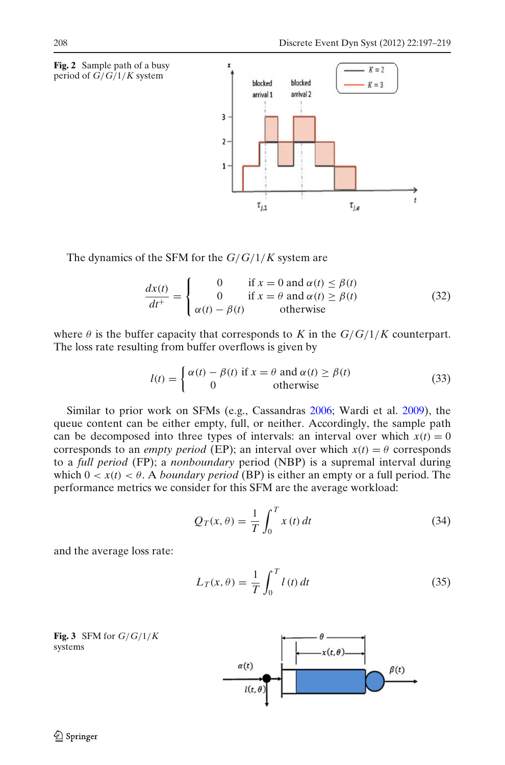<span id="page-11-0"></span>

The dynamics of the SFM for the *G*/*G*/1/*K* system are

$$
\frac{dx(t)}{dt^+} = \begin{cases}\n0 & \text{if } x = 0 \text{ and } \alpha(t) \le \beta(t) \\
0 & \text{if } x = \theta \text{ and } \alpha(t) \ge \beta(t) \\
\alpha(t) - \beta(t) & \text{otherwise}\n\end{cases}
$$
\n(32)

where  $\theta$  is the buffer capacity that corresponds to *K* in the  $G/G/1/K$  counterpart. The loss rate resulting from buffer overflows is given by

$$
l(t) = \begin{cases} \alpha(t) - \beta(t) & \text{if } x = \theta \text{ and } \alpha(t) \ge \beta(t) \\ 0 & \text{otherwise} \end{cases}
$$
(33)

Similar to prior work on SFMs (e.g., Cassandra[s](#page-20-0) [2006](#page-20-0); Wardi et al[.](#page-20-0) [2009](#page-20-0)), the queue content can be either empty, full, or neither. Accordingly, the sample path can be decomposed into three types of intervals: an interval over which  $x(t) = 0$ corresponds to an *empty period* (EP); an interval over which  $x(t) = \theta$  corresponds to a *full period* (FP); a *nonboundary* period (NBP) is a supremal interval during which  $0 < x(t) < \theta$ . A *boundary period* (BP) is either an empty or a full period. The performance metrics we consider for this SFM are the average workload:

$$
Q_T(x,\theta) = \frac{1}{T} \int_0^T x(t) dt
$$
\n(34)

and the average loss rate:

$$
L_T(x,\theta) = \frac{1}{T} \int_0^T l(t) dt
$$
\n(35)



 $\textcircled{2}$  Springer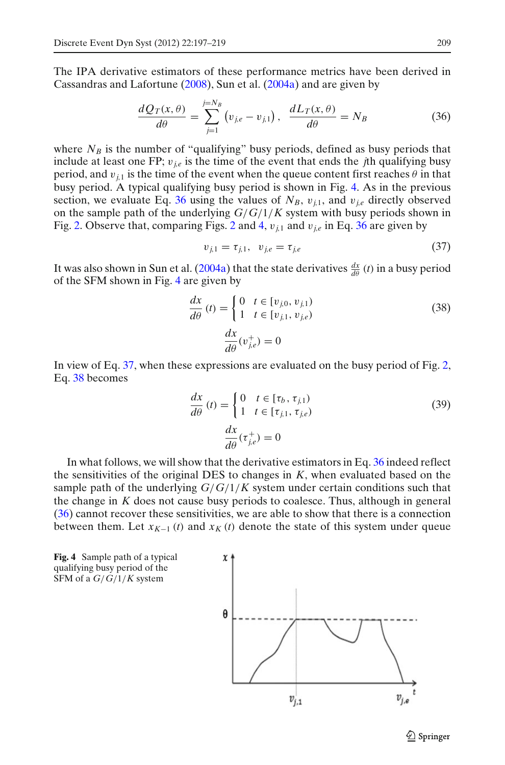<span id="page-12-0"></span>The IPA derivative estimators of these performance metrics have been derived in Cassandras and Lafortun[e](#page-20-0) [\(2008](#page-20-0)), Sun et al[.](#page-20-0) [\(2004a\)](#page-20-0) and are given by

$$
\frac{dQ_T(x,\theta)}{d\theta} = \sum_{j=1}^{j=N_B} \left( v_{j,e} - v_{j,1} \right), \quad \frac{dL_T(x,\theta)}{d\theta} = N_B \tag{36}
$$

where  $N_B$  is the number of "qualifying" busy periods, defined as busy periods that include at least one FP;  $v_{i,e}$  is the time of the event that ends the *j*th qualifying busy period, and  $v_{i,j}$  is the time of the event when the queue content first reaches  $\theta$  in that busy period. A typical qualifying busy period is shown in Fig. 4. As in the previous section, we evaluate Eq. 36 using the values of  $N_B$ ,  $v_{j,1}$ , and  $v_{j,e}$  directly observed on the sample path of the underlying *G*/*G*/1/*K* system with busy periods shown in Fig. [2.](#page-11-0) Observe that, comparing Figs. [2](#page-11-0) and 4,  $v_{i1}$  and  $v_{i2}$  in Eq. 36 are given by

$$
v_{j,1} = \tau_{j,1}, \ \ v_{j,e} = \tau_{j,e} \tag{37}
$$

It was also shown in Sun et al[.](#page-20-0) [\(2004a\)](#page-20-0) that the state derivatives  $\frac{dx}{d\theta}$  (*t*) in a busy period of the SFM shown in Fig. 4 are given by

$$
\frac{dx}{d\theta}(t) = \begin{cases} 0 & t \in [v_{j,0}, v_{j,1}) \\ 1 & t \in [v_{j,1}, v_{j,e}) \end{cases}
$$
\n
$$
\frac{dx}{d\theta}(v_{j,e}^+) = 0
$$
\n(38)

In view of Eq. 37, when these expressions are evaluated on the busy period of Fig. [2,](#page-11-0) Eq. 38 becomes

$$
\frac{dx}{d\theta}(t) = \begin{cases} 0 & t \in [\tau_b, \tau_{j,1}) \\ 1 & t \in [\tau_{j,1}, \tau_{j,e}) \end{cases}
$$
\n
$$
\frac{dx}{d\theta}(\tau_{j,e}^+) = 0
$$
\n(39)

In what follows, we will show that the derivative estimators in Eq. 36 indeed reflect the sensitivities of the original DES to changes in *K*, when evaluated based on the sample path of the underlying *G*/*G*/1/*K* system under certain conditions such that the change in *K* does not cause busy periods to coalesce. Thus, although in general (36) cannot recover these sensitivities, we are able to show that there is a connection between them. Let  $x_{K-1}$  (*t*) and  $x_K$  (*t*) denote the state of this system under queue

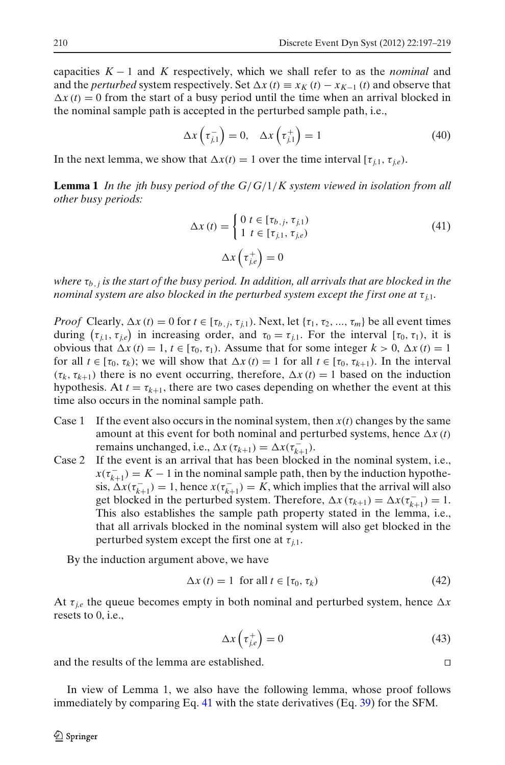capacities *K* − 1 and *K* respectively, which we shall refer to as the *nominal* and and the *perturbed* system respectively. Set  $\Delta x$  (*t*) =  $x_K$  (*t*)  $-x_{K-1}$  (*t*) and observe that  $\Delta x(t) = 0$  from the start of a busy period until the time when an arrival blocked in the nominal sample path is accepted in the perturbed sample path, i.e.,

$$
\Delta x \left( \tau_{j,1}^{-} \right) = 0, \quad \Delta x \left( \tau_{j,1}^{+} \right) = 1 \tag{40}
$$

In the next lemma, we show that  $\Delta x(t) = 1$  over the time interval  $[\tau_{j,1}, \tau_{j,e})$ .

**Lemma 1** *In the jth busy period of the G*/*G*/1/*K system viewed in isolation from all other busy periods:*

$$
\Delta x(t) = \begin{cases} 0 \ t \in [\tau_{b,j}, \tau_{j,1}) \\ 1 \ t \in [\tau_{j,1}, \tau_{j,e}) \end{cases}
$$
(41)  

$$
\Delta x\left(\tau_{j,e}^+\right) = 0
$$

*where* τ*b*,*<sup>j</sup> is the start of the busy period. In addition, all arrivals that are blocked in the nominal system are also blocked in the perturbed system except the first one at*  $\tau_i$ .

*Proof* Clearly,  $\Delta x$  (*t*) = 0 for *t*  $\in$  [ $\tau$ *b*, *j*,  $\tau$ <sub>*j*,1</sub>). Next, let { $\tau$ <sub>1</sub>,  $\tau$ <sub>2</sub>, ...,  $\tau$ <sub>*m*</sub>} be all event times during  $(\tau_{j,1}, \tau_{j,e})$  in increasing order, and  $\tau_0 = \tau_{j,1}$ . For the interval  $[\tau_0, \tau_1)$ , it is obvious that  $\Delta x$  (*t*) = 1, *t* ∈ [τ<sub>0</sub>, τ<sub>1</sub>). Assume that for some integer *k* > 0,  $\Delta x$  (*t*) = 1 for all  $t \in [\tau_0, \tau_k)$ ; we will show that  $\Delta x$  (*t*) = 1 for all  $t \in [\tau_0, \tau_{k+1})$ . In the interval  $(\tau_k, \tau_{k+1})$  there is no event occurring, therefore,  $\Delta x(t) = 1$  based on the induction hypothesis. At  $t = \tau_{k+1}$ , there are two cases depending on whether the event at this time also occurs in the nominal sample path.

- Case 1 If the event also occurs in the nominal system, then  $x(t)$  changes by the same amount at this event for both nominal and perturbed systems, hence  $\Delta x(t)$ remains unchanged, i.e.,  $\Delta x$  ( $\tau_{k+1}$ ) =  $\Delta x$ ( $\tau_{k+1}^-$ ).
- Case 2 If the event is an arrival that has been blocked in the nominal system, i.e.,  $x(\tau_{k+1}^-) = K - 1$  in the nominal sample path, then by the induction hypothe $x(\tau_{k+1}) = 1$ , hence  $x(\tau_{k+1}) = K$ , which implies that the arrival will also get blocked in the perturbed system. Therefore,  $\Delta x$  ( $\tau_{k+1}$ ) =  $\Delta x$ ( $\tau_{k+1}^-$ ) = 1. This also establishes the sample path property stated in the lemma, i.e., that all arrivals blocked in the nominal system will also get blocked in the perturbed system except the first one at  $\tau_{i,1}$ .

By the induction argument above, we have

$$
\Delta x(t) = 1 \text{ for all } t \in [\tau_0, \tau_k)
$$
\n(42)

At  $\tau_{j,e}$  the queue becomes empty in both nominal and perturbed system, hence  $\Delta x$ resets to 0, i.e.,

$$
\Delta x \left( \tau_{j,e}^+ \right) = 0 \tag{43}
$$

and the results of the lemma are established.

In view of Lemma 1, we also have the following lemma, whose proof follows immediately by comparing Eq. 41 with the state derivatives (Eq. [39\)](#page-12-0) for the SFM.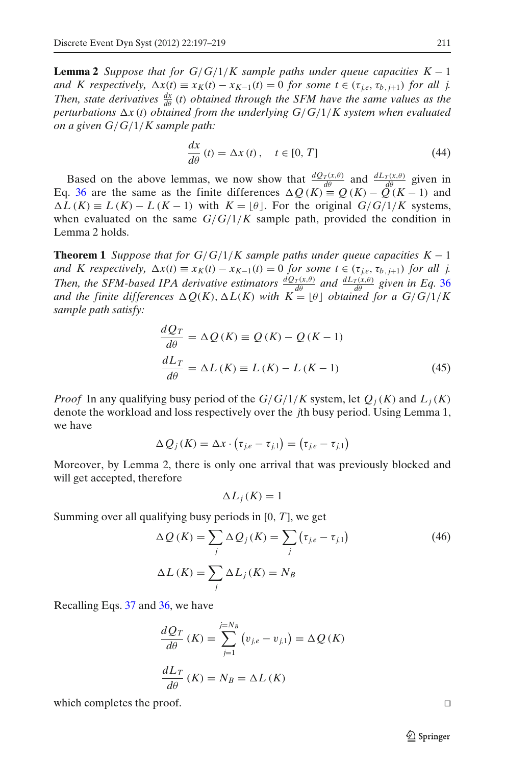**Lemma 2** *Suppose that for G*/*G*/1/*K sample paths under queue capacities*  $K - 1$ *and K respectively,*  $\Delta x(t) \equiv x_K(t) - x_{K-1}(t) = 0$  *for some*  $t \in (\tau_{j,e}, \tau_{b,j+1})$  *for all j. Then, state derivatives*  $\frac{dx}{d\theta}$  (*t*) *obtained through the SFM have the same values as the perturbations x* (*t*) *obtained from the underlying G*/*G*/1/*K system when evaluated on a given G*/*G*/1/*K sample path:*

$$
\frac{dx}{d\theta}(t) = \Delta x(t), \quad t \in [0, T]
$$
\n(44)

Based on the above lemmas, we now show that  $\frac{dQ_T(x,\theta)}{d\theta}$  and  $\frac{dL_T(x,\theta)}{d\theta}$  given in Eq. [36](#page-12-0) are the same as the finite differences  $\Delta Q(K) = Q(K) - Q(K-1)$  and  $\Delta L(K) = L(K) - L(K - 1)$  with  $K = \lfloor \theta \rfloor$ . For the original  $G/G/1/K$  systems, when evaluated on the same  $G/G/1/K$  sample path, provided the condition in Lemma 2 holds.

**Theorem 1** *Suppose that for G*/ $G/I/K$  *sample paths under queue capacities*  $K - 1$ *and K respectively,*  $\Delta x(t) \equiv x_K(t) - x_{K-1}(t) = 0$  *for some*  $t \in (\tau_{j,e}, \tau_{b,j+1})$  *for all j. Then, the SFM-based IPA derivative estimators*  $\frac{dQ_T(x,\theta)}{d\theta}$  and  $\frac{dL_T(x,\theta)}{d\theta}$  given in Eq. [36](#page-12-0) and the finite differences  $\Delta Q(K)$ ,  $\Delta L(K)$  with  $K = \lfloor \theta \rfloor$  obtained for a  $G/G/1/K$ *sample path satisfy:*

$$
\frac{dQ_T}{d\theta} = \Delta Q (K) \equiv Q (K) - Q (K - 1)
$$
  

$$
\frac{dL_T}{d\theta} = \Delta L (K) \equiv L (K) - L (K - 1)
$$
 (45)

*Proof* In any qualifying busy period of the  $G/G/1/K$  system, let  $Q_i(K)$  and  $L_i(K)$ denote the workload and loss respectively over the *j*th busy period. Using Lemma 1, we have

$$
\Delta Q_j(K) = \Delta x \cdot (\tau_{j,e} - \tau_{j,1}) = (\tau_{j,e} - \tau_{j,1})
$$

Moreover, by Lemma 2, there is only one arrival that was previously blocked and will get accepted, therefore

$$
\Delta L_j(K) = 1
$$

Summing over all qualifying busy periods in [0, *T*], we get

$$
\Delta Q(K) = \sum_{j} \Delta Q_{j}(K) = \sum_{j} (\tau_{j,e} - \tau_{j,1})
$$
\n
$$
\Delta L(K) = \sum_{j} \Delta L_{j}(K) = N_{B}
$$
\n(46)

Recalling Eqs. [37](#page-12-0) and [36,](#page-12-0) we have

$$
\frac{dQ_T}{d\theta}(K) = \sum_{j=1}^{j=N_B} (v_{j,e} - v_{j,1}) = \Delta Q(K)
$$

$$
\frac{dL_T}{d\theta}(K) = N_B = \Delta L(K)
$$

which completes the proof.  $\Box$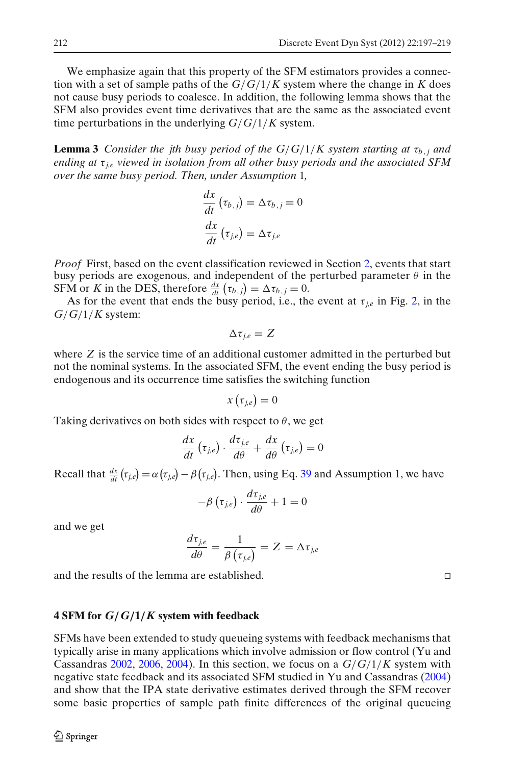<span id="page-15-0"></span>We emphasize again that this property of the SFM estimators provides a connection with a set of sample paths of the  $G/G/1/K$  system where the change in *K* does not cause busy periods to coalesce. In addition, the following lemma shows that the SFM also provides event time derivatives that are the same as the associated event time perturbations in the underlying *G*/*G*/1/*K* system.

**Lemma 3** *Consider the jth busy period of the G/G/1/K system starting at*  $\tau_{b,j}$  *and ending at* τ *<sup>j</sup>*,*<sup>e</sup> viewed in isolation from all other busy periods and the associated SFM over the same busy period. Then, under Assumption* 1*,*

$$
\frac{dx}{dt}(\tau_{b,j}) = \Delta \tau_{b,j} = 0
$$

$$
\frac{dx}{dt}(\tau_{j,e}) = \Delta \tau_{j,e}
$$

*Proof* First, based on the event classification reviewed in Section [2,](#page-2-0) events that start busy periods are exogenous, and independent of the perturbed parameter  $\theta$  in the SFM or *K* in the DES, therefore  $\frac{dx}{dt}(\tau_{b,j}) = \Delta \tau_{b,j} = 0$ .

As for the event that ends the busy period, i.e., the event at  $\tau_{i,e}$  in Fig. [2,](#page-11-0) in the *G*/*G*/1/*K* system:

$$
\Delta \tau_{j,e} = Z
$$

where *Z* is the service time of an additional customer admitted in the perturbed but not the nominal systems. In the associated SFM, the event ending the busy period is endogenous and its occurrence time satisfies the switching function

$$
x\left(\tau_{j,e}\right)=0
$$

Taking derivatives on both sides with respect to  $\theta$ , we get

$$
\frac{dx}{dt}\left(\tau_{j,e}\right)\cdot\frac{d\tau_{j,e}}{d\theta}+\frac{dx}{d\theta}\left(\tau_{j,e}\right)=0
$$

Recall that  $\frac{dx}{dt}(\tau_{j,e}) = \alpha(\tau_{j,e}) - \beta(\tau_{j,e})$ . Then, using Eq. [39](#page-12-0) and Assumption 1, we have

$$
-\beta\left(\tau_{j,e}\right)\cdot\frac{d\tau_{j,e}}{d\theta}+1=0
$$

and we get

$$
\frac{d\tau_{j,e}}{d\theta} = \frac{1}{\beta\left(\tau_{j,e}\right)} = Z = \Delta\tau_{j,e}
$$

and the results of the lemma are established.

## **4 SFM for** *G/G/***1***/K* **system with feedback**

SFMs have been extended to study queueing systems with feedback mechanisms that typically arise in many applications which involve admission or flow control (Yu and Ca[s](#page-20-0)sandras [2002](#page-20-0), [2006,](#page-20-0) [2004](#page-20-0)). In this section, we focus on a  $G/G/1/K$  system with negative state feedback and its associated SFM studied in Yu and Cassandra[s](#page-20-0) [\(2004\)](#page-20-0) and show that the IPA state derivative estimates derived through the SFM recover some basic properties of sample path finite differences of the original queueing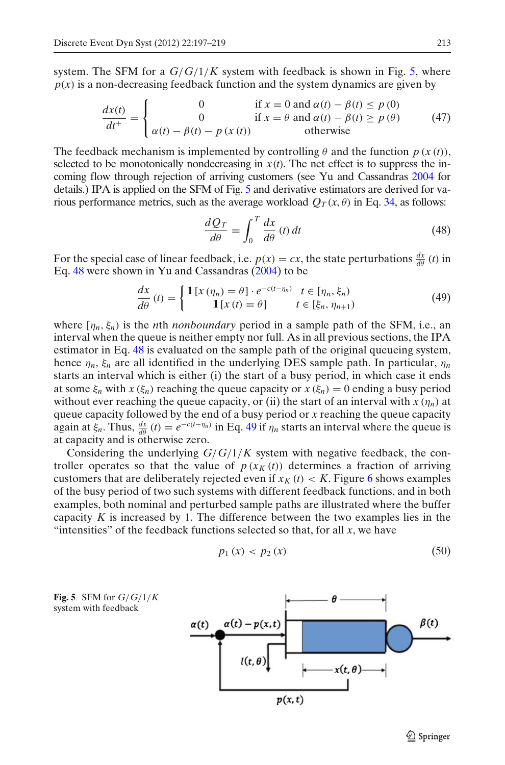<span id="page-16-0"></span>system. The SFM for a  $G/G/1/K$  system with feedback is shown in Fig. 5, where  $p(x)$  is a non-decreasing feedback function and the system dynamics are given by

$$
\frac{dx(t)}{dt^+} = \begin{cases}\n0 & \text{if } x = 0 \text{ and } \alpha(t) - \beta(t) \le p(0) \\
0 & \text{if } x = \theta \text{ and } \alpha(t) - \beta(t) \ge p(\theta) \\
\alpha(t) - \beta(t) - p(x(t)) & \text{otherwise}\n\end{cases}
$$
\n(47)

The feedback mechanism is implemented by controlling  $\theta$  and the function  $p(x(t))$ , selected to be monotonically nondecreasing in  $x(t)$ . The net effect is to suppress the incoming flow through rejection of arriving customers (see Yu and Cassandras [2004](#page-20-0) for details.) IPA is applied on the SFM of Fig. 5 and derivative estimators are derived for various performance metrics, such as the average workload  $Q_T(x, \theta)$  in Eq. [34,](#page-11-0) as follows:

$$
\frac{dQ_T}{d\theta} = \int_0^T \frac{dx}{d\theta} \,(t) \, dt \tag{48}
$$

For the special case of linear feedback, i.e.  $p(x) = cx$ , the state perturbations  $\frac{dx}{d\theta}$  (*t*) in Eq. 48 were shown in Yu and Cassandra[s](#page-20-0) [\(2004](#page-20-0)) to be

$$
\frac{dx}{d\theta}(t) = \begin{cases} \mathbf{1}[x(\eta_n) = \theta] \cdot e^{-c(t-\eta_n)} & t \in [\eta_n, \xi_n) \\ \mathbf{1}[x(t) = \theta] & t \in [\xi_n, \eta_{n+1}) \end{cases}
$$
(49)

where  $[\eta_n, \xi_n]$  is the *n*th *nonboundary* period in a sample path of the SFM, i.e., an interval when the queue is neither empty nor full. As in all previous sections, the IPA estimator in Eq. 48 is evaluated on the sample path of the original queueing system, hence  $\eta_n$ ,  $\xi_n$  are all identified in the underlying DES sample path. In particular,  $\eta_n$ starts an interval which is either (i) the start of a busy period, in which case it ends at some  $\xi_n$  with  $x(\xi_n)$  reaching the queue capacity or  $x(\xi_n) = 0$  ending a busy period without ever reaching the queue capacity, or (ii) the start of an interval with  $x(\eta_n)$  at queue capacity followed by the end of a busy period or *x* reaching the queue capacity again at  $\xi_n$ . Thus,  $\frac{dx}{d\theta}$  (*t*) =  $e^{-c(t-\eta_n)}$  in Eq. 49 if  $\eta_n$  starts an interval where the queue is at capacity and is otherwise zero.

Considering the underlying *G*/*G*/1/*K* system with negative feedback, the controller operates so that the value of  $p(x_K(t))$  determines a fraction of arriving customers that are deliberately rejected even if  $x_K(t) < K$ . Figure [6](#page-17-0) shows examples of the busy period of two such systems with different feedback functions, and in both examples, both nominal and perturbed sample paths are illustrated where the buffer capacity  $K$  is increased by 1. The difference between the two examples lies in the "intensities" of the feedback functions selected so that, for all  $x$ , we have

$$
p_1(x) < p_2(x) \tag{50}
$$

**Fig. 5** SFM for *G*/*G*/1/*K* system with feedback

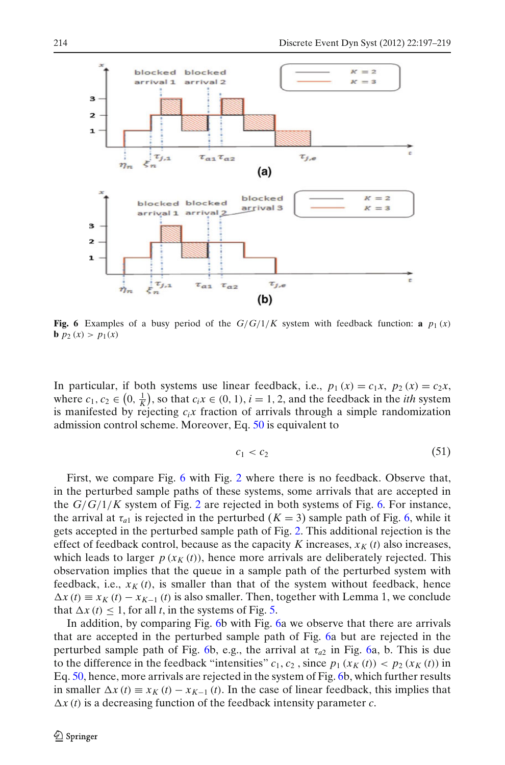<span id="page-17-0"></span>

**Fig. 6** Examples of a busy period of the  $G/G/1/K$  system with feedback function: **a**  $p_1(x)$ **b**  $p_2(x) > p_1(x)$ 

In particular, if both systems use linear feedback, i.e.,  $p_1(x) = c_1x$ ,  $p_2(x) = c_2x$ , where  $c_1, c_2 \in (0, \frac{1}{K})$ , so that  $c_i x \in (0, 1)$ ,  $i = 1, 2$ , and the feedback in the *ith* system is manifested by rejecting *cix* fraction of arrivals through a simple randomization admission control scheme. Moreover, Eq. [50](#page-16-0) is equivalent to

$$
c_1 < c_2 \tag{51}
$$

First, we compare Fig. 6 with Fig. [2](#page-11-0) where there is no feedback. Observe that, in the perturbed sample paths of these systems, some arrivals that are accepted in the  $G/G/1/K$  system of Fig. [2](#page-11-0) are rejected in both systems of Fig. 6. For instance, the arrival at  $\tau_{a1}$  is rejected in the perturbed ( $K = 3$ ) sample path of Fig. 6, while it gets accepted in the perturbed sample path of Fig. [2.](#page-11-0) This additional rejection is the effect of feedback control, because as the capacity *K* increases,  $x_K(t)$  also increases, which leads to larger  $p(x_K(t))$ , hence more arrivals are deliberately rejected. This observation implies that the queue in a sample path of the perturbed system with feedback, i.e.,  $x_K(t)$ , is smaller than that of the system without feedback, hence  $\Delta x$  (*t*) = *x<sub>K</sub>* (*t*) − *x<sub>K−1</sub>* (*t*) is also smaller. Then, together with Lemma 1, we conclude that  $\Delta x$  (*t*)  $\leq 1$ , for all *t*, in the systems of Fig. [5.](#page-16-0)

In addition, by comparing Fig. 6b with Fig. 6a we observe that there are arrivals that are accepted in the perturbed sample path of Fig. 6a but are rejected in the perturbed sample path of Fig. 6b, e.g., the arrival at  $\tau_{a2}$  in Fig. 6a, b. This is due to the difference in the feedback "intensities"  $c_1$ ,  $c_2$ , since  $p_1(x_K(t)) < p_2(x_K(t))$  in Eq. [50,](#page-16-0) hence, more arrivals are rejected in the system of Fig. 6b, which further results in smaller  $\Delta x$  (*t*) =  $x_K$  (*t*) –  $x_{K-1}$  (*t*). In the case of linear feedback, this implies that  $\Delta x(t)$  is a decreasing function of the feedback intensity parameter *c*.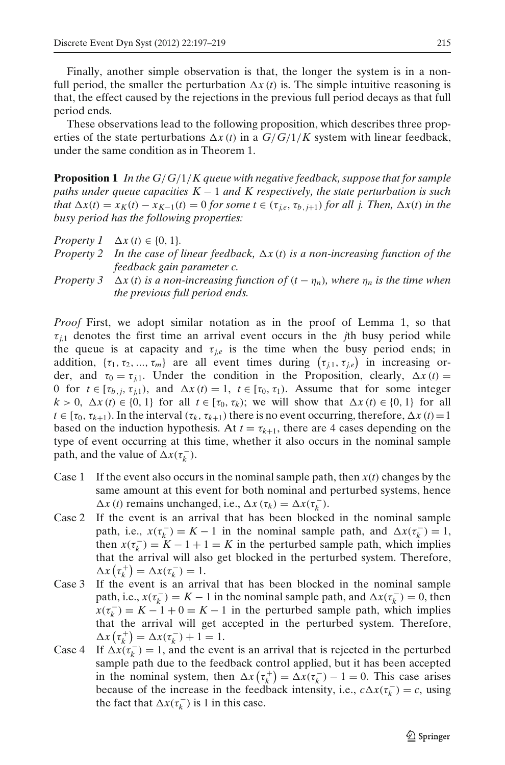Finally, another simple observation is that, the longer the system is in a nonfull period, the smaller the perturbation  $\Delta x(t)$  is. The simple intuitive reasoning is that, the effect caused by the rejections in the previous full period decays as that full period ends.

These observations lead to the following proposition, which describes three properties of the state perturbations  $\Delta x(t)$  in a  $G/G/1/K$  system with linear feedback, under the same condition as in Theorem 1.

**Proposition 1** *In the G*/*G*/1/*K queue with negative feedback, suppose that for sample paths under queue capacities K* − 1 *and K respectively, the state perturbation is such that*  $\Delta x(t) = x_K(t) - x_{K-1}(t) = 0$  *for some*  $t \in (\tau_{j,e}, \tau_{b,j+1})$  *for all j. Then,*  $\Delta x(t)$  *in the busy period has the following properties:*

- *Property 1*  $\Delta x$  (*t*)  $\in$  {0, 1}*.*
- *Property 2 In the case of linear feedback, x* (*t*) *is a non-increasing function of the feedback gain parameter c.*
- *Property 3*  $\Delta x$  (*t*) *is a non-increasing function of* (*t* −  $\eta_n$ )*, where*  $\eta_n$  *is the time when the previous full period ends.*

*Proof* First, we adopt similar notation as in the proof of Lemma 1, so that  $\tau_{i,1}$  denotes the first time an arrival event occurs in the *j*th busy period while the queue is at capacity and  $\tau_{j,e}$  is the time when the busy period ends; in addition,  $\{\tau_1, \tau_2, ..., \tau_m\}$  are all event times during  $(\tau_{j,1}, \tau_{j,e})$  in increasing order, and  $\tau_0 = \tau_{j,1}$ . Under the condition in the Proposition, clearly,  $\Delta x(t) =$ 0 for  $t \in [\tau_{b,j}, \tau_{j,l})$ , and  $\Delta x(t) = 1$ ,  $t \in [\tau_0, \tau_1)$ . Assume that for some integer  $k > 0$ ,  $\Delta x$  (*t*)  $\in \{0, 1\}$  for all  $t \in [\tau_0, \tau_k)$ ; we will show that  $\Delta x$  (*t*)  $\in \{0, 1\}$  for all  $t \in [\tau_0, \tau_{k+1})$ . In the interval  $(\tau_k, \tau_{k+1})$  there is no event occurring, therefore,  $\Delta x$   $(t) = 1$ based on the induction hypothesis. At  $t = \tau_{k+1}$ , there are 4 cases depending on the type of event occurring at this time, whether it also occurs in the nominal sample path, and the value of  $\Delta x(\tau_k^-)$ .

- Case 1 If the event also occurs in the nominal sample path, then *x*(*t*) changes by the same amount at this event for both nominal and perturbed systems, hence  $\Delta x$  (*t*) remains unchanged, i.e.,  $\Delta x$  ( $\tau_k$ ) =  $\Delta x$ ( $\tau_k^-$ ).
- Case 2 If the event is an arrival that has been blocked in the nominal sample path, i.e.,  $x(\tau_k^-) = K - 1$  in the nominal sample path, and  $\Delta x(\tau_k^-) = 1$ , then  $x(\tau_k^-) = K - 1 + 1 = K$  in the perturbed sample path, which implies that the arrival will also get blocked in the perturbed system. Therefore,  $\Delta x \left( \tau_k^+ \right) = \Delta x(\tau_k^-) = 1.$
- Case 3 If the event is an arrival that has been blocked in the nominal sample path, i.e.,  $x(\tau_k^-) = K - 1$  in the nominal sample path, and  $\Delta x(\tau_k^-) = 0$ , then  $x(\tau_k^-) = K - 1 + 0 = K - 1$  in the perturbed sample path, which implies that the arrival will get accepted in the perturbed system. Therefore,  $\Delta x (\tau_k^+) = \Delta x (\tau_k^-) + 1 = 1.$
- Case 4 If  $\Delta x(\tau_k^-) = 1$ , and the event is an arrival that is rejected in the perturbed sample path due to the feedback control applied, but it has been accepted in the nominal system, then  $\Delta x$  ( $\tau_k^+$ ) =  $\Delta x$ ( $\tau_k^-$ ) – 1 = 0. This case arises because of the increase in the feedback intensity, i.e.,  $c \Delta x(\tau_k^-) = c$ , using the fact that  $\Delta x(\tau_k^-)$  is 1 in this case.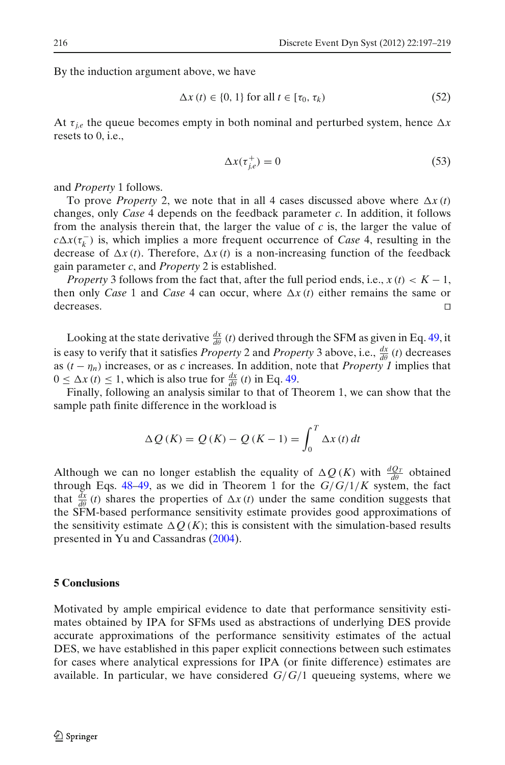By the induction argument above, we have

$$
\Delta x(t) \in \{0, 1\} \text{ for all } t \in [\tau_0, \tau_k)
$$
\n
$$
(52)
$$

At  $\tau_{j,e}$  the queue becomes empty in both nominal and perturbed system, hence  $\Delta x$ resets to 0, i.e.,

$$
\Delta x(\tau_{j,e}^+) = 0\tag{53}
$$

and *Property* 1 follows.

To prove *Property* 2, we note that in all 4 cases discussed above where  $\Delta x(t)$ changes, only *Case* 4 depends on the feedback parameter *c*. In addition, it follows from the analysis therein that, the larger the value of *c* is, the larger the value of  $c \Delta x(\tau_k^-)$  is, which implies a more frequent occurrence of *Case* 4, resulting in the decrease of  $\Delta x(t)$ . Therefore,  $\Delta x(t)$  is a non-increasing function of the feedback gain parameter *c*, and *Property* 2 is established.

*Property* 3 follows from the fact that, after the full period ends, i.e.,  $x(t) < K - 1$ , then only *Case* 1 and *Case* 4 can occur, where  $\Delta x(t)$  either remains the same or decreases.

Looking at the state derivative  $\frac{dx}{d\theta}$  (*t*) derived through the SFM as given in Eq. [49,](#page-16-0) it is easy to verify that it satisfies *Property* 2 and *Property* 3 above, i.e.,  $\frac{dx}{d\theta}$  (*t*) decreases as  $(t - \eta_n)$  increases, or as *c* increases. In addition, note that *Property 1* implies that  $0 \leq \Delta x$  (*t*)  $\leq 1$ , which is also true for  $\frac{dx}{d\theta}$  (*t*) in Eq. [49.](#page-16-0)

Finally, following an analysis similar to that of Theorem 1, we can show that the sample path finite difference in the workload is

$$
\Delta Q(K) = Q(K) - Q(K - 1) = \int_0^T \Delta x(t) dt
$$

Although we can no longer establish the equality of  $\Delta Q(K)$  with  $\frac{dQ_T}{d\theta}$  obtained through Eqs.  $48-49$ , as we did in Theorem 1 for the  $G/G/1/K$  system, the fact that  $\frac{dx}{d\theta}$  (*t*) shares the properties of  $\Delta x$  (*t*) under the same condition suggests that the SFM-based performance sensitivity estimate provides good approximations of the sensitivity estimate  $\Delta Q(K)$ ; this is consistent with the simulation-based results pre[s](#page-20-0)ented in Yu and Cassandras [\(2004](#page-20-0)).

## **5 Conclusions**

Motivated by ample empirical evidence to date that performance sensitivity estimates obtained by IPA for SFMs used as abstractions of underlying DES provide accurate approximations of the performance sensitivity estimates of the actual DES, we have established in this paper explicit connections between such estimates for cases where analytical expressions for IPA (or finite difference) estimates are available. In particular, we have considered *G*/*G*/1 queueing systems, where we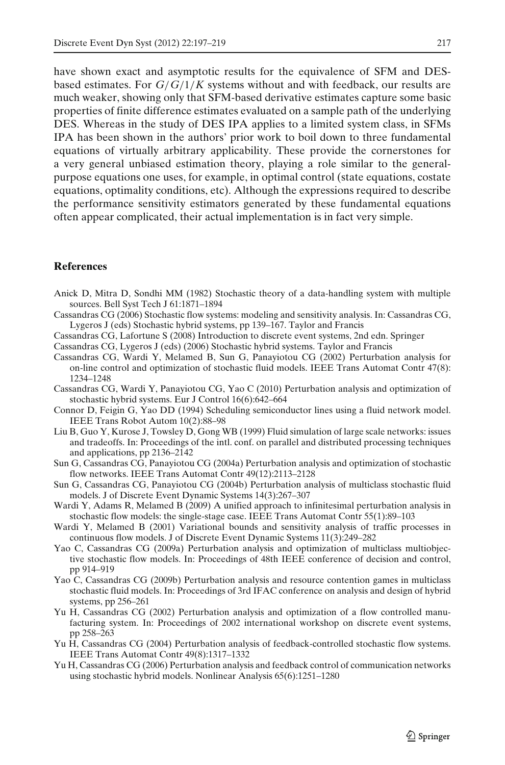<span id="page-20-0"></span>have shown exact and asymptotic results for the equivalence of SFM and DESbased estimates. For *G*/*G*/1/*K* systems without and with feedback, our results are much weaker, showing only that SFM-based derivative estimates capture some basic properties of finite difference estimates evaluated on a sample path of the underlying DES. Whereas in the study of DES IPA applies to a limited system class, in SFMs IPA has been shown in the authors' prior work to boil down to three fundamental equations of virtually arbitrary applicability. These provide the cornerstones for a very general unbiased estimation theory, playing a role similar to the generalpurpose equations one uses, for example, in optimal control (state equations, costate equations, optimality conditions, etc). Although the expressions required to describe the performance sensitivity estimators generated by these fundamental equations often appear complicated, their actual implementation is in fact very simple.

# **References**

- Anick D, Mitra D, Sondhi MM (1982) Stochastic theory of a data-handling system with multiple sources. Bell Syst Tech J 61:1871–1894
- Cassandras CG (2006) Stochastic flow systems: modeling and sensitivity analysis. In: Cassandras CG, Lygeros J (eds) Stochastic hybrid systems, pp 139–167. Taylor and Francis
- Cassandras CG, Lafortune S (2008) Introduction to discrete event systems, 2nd edn. Springer
- Cassandras CG, Lygeros J (eds) (2006) Stochastic hybrid systems. Taylor and Francis
- Cassandras CG, Wardi Y, Melamed B, Sun G, Panayiotou CG (2002) Perturbation analysis for on-line control and optimization of stochastic fluid models. IEEE Trans Automat Contr 47(8): 1234–1248
- Cassandras CG, Wardi Y, Panayiotou CG, Yao C (2010) Perturbation analysis and optimization of stochastic hybrid systems. Eur J Control 16(6):642–664
- Connor D, Feigin G, Yao DD (1994) Scheduling semiconductor lines using a fluid network model. IEEE Trans Robot Autom 10(2):88–98
- Liu B, Guo Y, Kurose J, Towsley D, Gong WB (1999) Fluid simulation of large scale networks: issues and tradeoffs. In: Proceedings of the intl. conf. on parallel and distributed processing techniques and applications, pp 2136–2142
- Sun G, Cassandras CG, Panayiotou CG (2004a) Perturbation analysis and optimization of stochastic flow networks. IEEE Trans Automat Contr 49(12):2113–2128
- Sun G, Cassandras CG, Panayiotou CG (2004b) Perturbation analysis of multiclass stochastic fluid models. J of Discrete Event Dynamic Systems 14(3):267–307
- Wardi Y, Adams R, Melamed B (2009) A unified approach to infinitesimal perturbation analysis in stochastic flow models: the single-stage case. IEEE Trans Automat Contr 55(1):89–103
- Wardi Y, Melamed B (2001) Variational bounds and sensitivity analysis of traffic processes in continuous flow models. J of Discrete Event Dynamic Systems 11(3):249–282
- Yao C, Cassandras CG (2009a) Perturbation analysis and optimization of multiclass multiobjective stochastic flow models. In: Proceedings of 48th IEEE conference of decision and control, pp 914–919
- Yao C, Cassandras CG (2009b) Perturbation analysis and resource contention games in multiclass stochastic fluid models. In: Proceedings of 3rd IFAC conference on analysis and design of hybrid systems, pp 256–261
- Yu H, Cassandras CG (2002) Perturbation analysis and optimization of a flow controlled manufacturing system. In: Proceedings of 2002 international workshop on discrete event systems, pp 258–263
- Yu H, Cassandras CG (2004) Perturbation analysis of feedback-controlled stochastic flow systems. IEEE Trans Automat Contr 49(8):1317–1332
- Yu H, Cassandras CG (2006) Perturbation analysis and feedback control of communication networks using stochastic hybrid models. Nonlinear Analysis 65(6):1251–1280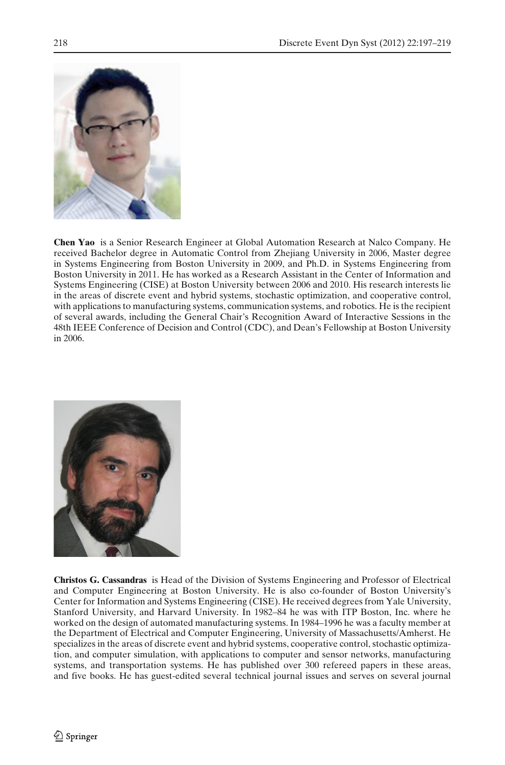

**Chen Yao** is a Senior Research Engineer at Global Automation Research at Nalco Company. He received Bachelor degree in Automatic Control from Zhejiang University in 2006, Master degree in Systems Engineering from Boston University in 2009, and Ph.D. in Systems Engineering from Boston University in 2011. He has worked as a Research Assistant in the Center of Information and Systems Engineering (CISE) at Boston University between 2006 and 2010. His research interests lie in the areas of discrete event and hybrid systems, stochastic optimization, and cooperative control, with applications to manufacturing systems, communication systems, and robotics. He is the recipient of several awards, including the General Chair's Recognition Award of Interactive Sessions in the 48th IEEE Conference of Decision and Control (CDC), and Dean's Fellowship at Boston University in 2006.



**Christos G. Cassandras** is Head of the Division of Systems Engineering and Professor of Electrical and Computer Engineering at Boston University. He is also co-founder of Boston University's Center for Information and Systems Engineering (CISE). He received degrees from Yale University, Stanford University, and Harvard University. In 1982–84 he was with ITP Boston, Inc. where he worked on the design of automated manufacturing systems. In 1984–1996 he was a faculty member at the Department of Electrical and Computer Engineering, University of Massachusetts/Amherst. He specializes in the areas of discrete event and hybrid systems, cooperative control, stochastic optimization, and computer simulation, with applications to computer and sensor networks, manufacturing systems, and transportation systems. He has published over 300 refereed papers in these areas, and five books. He has guest-edited several technical journal issues and serves on several journal